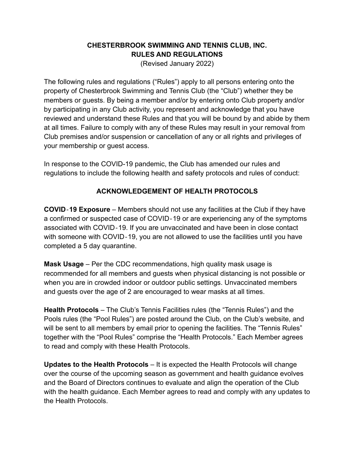#### **CHESTERBROOK SWIMMING AND TENNIS CLUB, INC. RULES AND REGULATIONS**

(Revised January 2022)

The following rules and regulations ("Rules") apply to all persons entering onto the property of Chesterbrook Swimming and Tennis Club (the "Club") whether they be members or guests. By being a member and/or by entering onto Club property and/or by participating in any Club activity, you represent and acknowledge that you have reviewed and understand these Rules and that you will be bound by and abide by them at all times. Failure to comply with any of these Rules may result in your removal from Club premises and/or suspension or cancellation of any or all rights and privileges of your membership or guest access.

In response to the COVID-19 pandemic, the Club has amended our rules and regulations to include the following health and safety protocols and rules of conduct:

#### **ACKNOWLEDGEMENT OF HEALTH PROTOCOLS**

**COVID**‐**19 Exposure** – Members should not use any facilities at the Club if they have a confirmed or suspected case of COVID‐19 or are experiencing any of the symptoms associated with COVID‐19. If you are unvaccinated and have been in close contact with someone with COVID-19, you are not allowed to use the facilities until you have completed a 5 day quarantine.

**Mask Usage** – Per the CDC recommendations, high quality mask usage is recommended for all members and guests when physical distancing is not possible or when you are in crowded indoor or outdoor public settings. Unvaccinated members and guests over the age of 2 are encouraged to wear masks at all times.

**Health Protocols** – The Club's Tennis Facilities rules (the "Tennis Rules") and the Pools rules (the "Pool Rules") are posted around the Club, on the Club's website, and will be sent to all members by email prior to opening the facilities. The "Tennis Rules" together with the "Pool Rules" comprise the "Health Protocols." Each Member agrees to read and comply with these Health Protocols.

**Updates to the Health Protocols** – It is expected the Health Protocols will change over the course of the upcoming season as government and health guidance evolves and the Board of Directors continues to evaluate and align the operation of the Club with the health guidance. Each Member agrees to read and comply with any updates to the Health Protocols.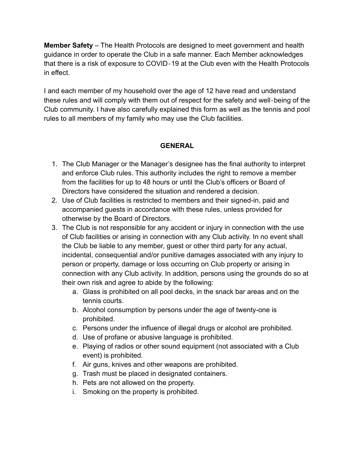**Member Safety** – The Health Protocols are designed to meet government and health guidance in order to operate the Club in a safe manner. Each Member acknowledges that there is a risk of exposure to COVID‐19 at the Club even with the Health Protocols in effect.

I and each member of my household over the age of 12 have read and understand these rules and will comply with them out of respect for the safety and well‐being of the Club community. I have also carefully explained this form as well as the tennis and pool rules to all members of my family who may use the Club facilities.

#### **GENERAL**

- 1. The Club Manager or the Manager's designee has the final authority to interpret and enforce Club rules. This authority includes the right to remove a member from the facilities for up to 48 hours or until the Club's officers or Board of Directors have considered the situation and rendered a decision.
- 2. Use of Club facilities is restricted to members and their signed-in, paid and accompanied guests in accordance with these rules, unless provided for otherwise by the Board of Directors.
- 3. The Club is not responsible for any accident or injury in connection with the use of Club facilities or arising in connection with any Club activity. In no event shall the Club be liable to any member, guest or other third party for any actual, incidental, consequential and/or punitive damages associated with any injury to person or property, damage or loss occurring on Club property or arising in connection with any Club activity. In addition, persons using the grounds do so at their own risk and agree to abide by the following:
	- a. Glass is prohibited on all pool decks, in the snack bar areas and on the tennis courts.
	- b. Alcohol consumption by persons under the age of twenty-one is prohibited.
	- c. Persons under the influence of illegal drugs or alcohol are prohibited.
	- d. Use of profane or abusive language is prohibited.
	- e. Playing of radios or other sound equipment (not associated with a Club event) is prohibited.
	- f. Air guns, knives and other weapons are prohibited.
	- g. Trash must be placed in designated containers.
	- h. Pets are not allowed on the property.
	- i. Smoking on the property is prohibited.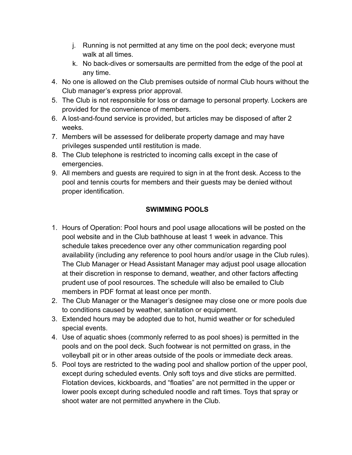- j. Running is not permitted at any time on the pool deck; everyone must walk at all times.
- k. No back-dives or somersaults are permitted from the edge of the pool at any time.
- 4. No one is allowed on the Club premises outside of normal Club hours without the Club manager's express prior approval.
- 5. The Club is not responsible for loss or damage to personal property. Lockers are provided for the convenience of members.
- 6. A lost-and-found service is provided, but articles may be disposed of after 2 weeks.
- 7. Members will be assessed for deliberate property damage and may have privileges suspended until restitution is made.
- 8. The Club telephone is restricted to incoming calls except in the case of emergencies.
- 9. All members and guests are required to sign in at the front desk. Access to the pool and tennis courts for members and their guests may be denied without proper identification.

# **SWIMMING POOLS**

- 1. Hours of Operation: Pool hours and pool usage allocations will be posted on the pool website and in the Club bathhouse at least 1 week in advance. This schedule takes precedence over any other communication regarding pool availability (including any reference to pool hours and/or usage in the Club rules). The Club Manager or Head Assistant Manager may adjust pool usage allocation at their discretion in response to demand, weather, and other factors affecting prudent use of pool resources. The schedule will also be emailed to Club members in PDF format at least once per month.
- 2. The Club Manager or the Manager's designee may close one or more pools due to conditions caused by weather, sanitation or equipment.
- 3. Extended hours may be adopted due to hot, humid weather or for scheduled special events.
- 4. Use of aquatic shoes (commonly referred to as pool shoes) is permitted in the pools and on the pool deck. Such footwear is not permitted on grass, in the volleyball pit or in other areas outside of the pools or immediate deck areas.
- 5. Pool toys are restricted to the wading pool and shallow portion of the upper pool, except during scheduled events. Only soft toys and dive sticks are permitted. Flotation devices, kickboards, and "floaties" are not permitted in the upper or lower pools except during scheduled noodle and raft times. Toys that spray or shoot water are not permitted anywhere in the Club.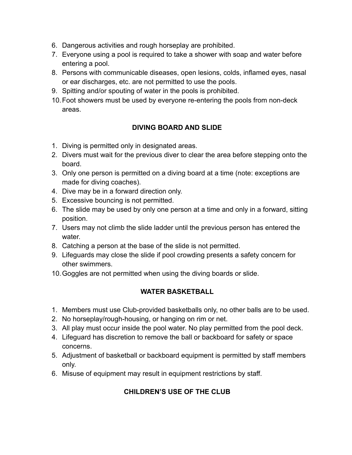- 6. Dangerous activities and rough horseplay are prohibited.
- 7. Everyone using a pool is required to take a shower with soap and water before entering a pool.
- 8. Persons with communicable diseases, open lesions, colds, inflamed eyes, nasal or ear discharges, etc. are not permitted to use the pools.
- 9. Spitting and/or spouting of water in the pools is prohibited.
- 10.Foot showers must be used by everyone re-entering the pools from non-deck areas.

### **DIVING BOARD AND SLIDE**

- 1. Diving is permitted only in designated areas.
- 2. Divers must wait for the previous diver to clear the area before stepping onto the board.
- 3. Only one person is permitted on a diving board at a time (note: exceptions are made for diving coaches).
- 4. Dive may be in a forward direction only.
- 5. Excessive bouncing is not permitted.
- 6. The slide may be used by only one person at a time and only in a forward, sitting position.
- 7. Users may not climb the slide ladder until the previous person has entered the water.
- 8. Catching a person at the base of the slide is not permitted.
- 9. Lifeguards may close the slide if pool crowding presents a safety concern for other swimmers.
- 10.Goggles are not permitted when using the diving boards or slide.

#### **WATER BASKETBALL**

- 1. Members must use Club-provided basketballs only, no other balls are to be used.
- 2. No horseplay/rough-housing, or hanging on rim or net.
- 3. All play must occur inside the pool water. No play permitted from the pool deck.
- 4. Lifeguard has discretion to remove the ball or backboard for safety or space concerns.
- 5. Adjustment of basketball or backboard equipment is permitted by staff members only.
- 6. Misuse of equipment may result in equipment restrictions by staff.

# **CHILDREN'S USE OF THE CLUB**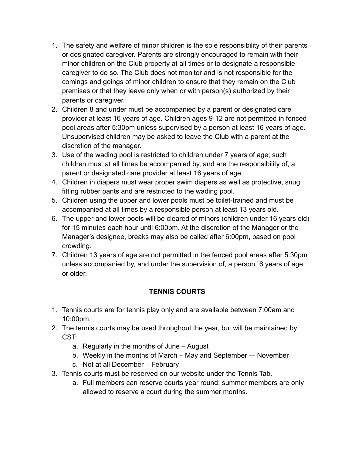- 1. The safety and welfare of minor children is the sole responsibility of their parents or designated caregiver. Parents are strongly encouraged to remain with their minor children on the Club property at all times or to designate a responsible caregiver to do so. The Club does not monitor and is not responsible for the comings and goings of minor children to ensure that they remain on the Club premises or that they leave only when or with person(s) authorized by their parents or caregiver.
- 2. Children 8 and under must be accompanied by a parent or designated care provider at least 16 years of age. Children ages 9-12 are not permitted in fenced pool areas after 5:30pm unless supervised by a person at least 16 years of age. Unsupervised children may be asked to leave the Club with a parent at the discretion of the manager.
- 3. Use of the wading pool is restricted to children under 7 years of age; such children must at all times be accompanied by, and are the responsibility of, a parent or designated care provider at least 16 years of age.
- 4. Children in diapers must wear proper swim diapers as well as protective, snug fitting rubber pants and are restricted to the wading pool.
- 5. Children using the upper and lower pools must be toilet-trained and must be accompanied at all times by a responsible person at least 13 years old.
- 6. The upper and lower pools will be cleared of minors (children under 16 years old) for 15 minutes each hour until 6:00pm. At the discretion of the Manager or the Manager's designee, breaks may also be called after 6:00pm, based on pool crowding.
- 7. Children 13 years of age are not permitted in the fenced pool areas after 5:30pm unless accompanied by, and under the supervision of, a person `6 years of age or older.

# **TENNIS COURTS**

- 1. Tennis courts are for tennis play only and are available between 7:00am and 10:00pm.
- 2. The tennis courts may be used throughout the year, but will be maintained by CST:
	- a. Regularly in the months of June August
	- b. Weekly in the months of March May and September -– November
	- c. Not at all December February
- 3. Tennis courts must be reserved on our website under the Tennis Tab.
	- a. Full members can reserve courts year round; summer members are only allowed to reserve a court during the summer months.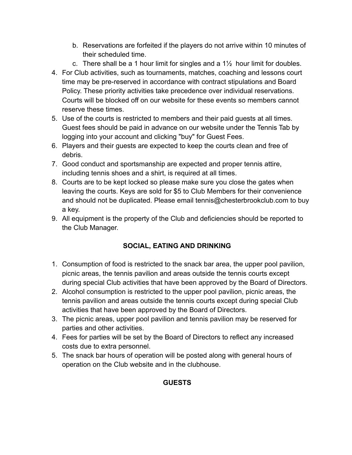- b. Reservations are forfeited if the players do not arrive within 10 minutes of their scheduled time.
- c. There shall be a 1 hour limit for singles and a  $1\frac{1}{2}$  hour limit for doubles.
- 4. For Club activities, such as tournaments, matches, coaching and lessons court time may be pre-reserved in accordance with contract stipulations and Board Policy. These priority activities take precedence over individual reservations. Courts will be blocked off on our website for these events so members cannot reserve these times.
- 5. Use of the courts is restricted to members and their paid guests at all times. Guest fees should be paid in advance on our website under the Tennis Tab by logging into your account and clicking "buy" for Guest Fees.
- 6. Players and their guests are expected to keep the courts clean and free of debris.
- 7. Good conduct and sportsmanship are expected and proper tennis attire, including tennis shoes and a shirt, is required at all times.
- 8. Courts are to be kept locked so please make sure you close the gates when leaving the courts. Keys are sold for \$5 to Club Members for their convenience and should not be duplicated. Please email tennis@chesterbrookclub.com to buy a key.
- 9. All equipment is the property of the Club and deficiencies should be reported to the Club Manager.

# **SOCIAL, EATING AND DRINKING**

- 1. Consumption of food is restricted to the snack bar area, the upper pool pavilion, picnic areas, the tennis pavilion and areas outside the tennis courts except during special Club activities that have been approved by the Board of Directors.
- 2. Alcohol consumption is restricted to the upper pool pavilion, picnic areas, the tennis pavilion and areas outside the tennis courts except during special Club activities that have been approved by the Board of Directors.
- 3. The picnic areas, upper pool pavilion and tennis pavilion may be reserved for parties and other activities.
- 4. Fees for parties will be set by the Board of Directors to reflect any increased costs due to extra personnel.
- 5. The snack bar hours of operation will be posted along with general hours of operation on the Club website and in the clubhouse.

# **GUESTS**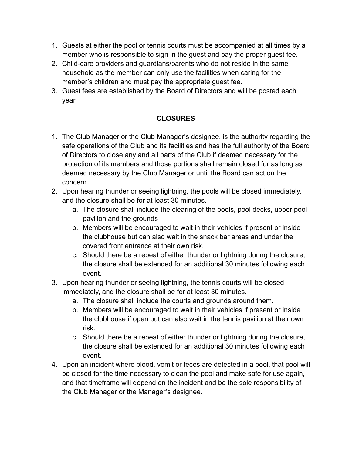- 1. Guests at either the pool or tennis courts must be accompanied at all times by a member who is responsible to sign in the guest and pay the proper guest fee.
- 2. Child-care providers and guardians/parents who do not reside in the same household as the member can only use the facilities when caring for the member's children and must pay the appropriate guest fee.
- 3. Guest fees are established by the Board of Directors and will be posted each year.

### **CLOSURES**

- 1. The Club Manager or the Club Manager's designee, is the authority regarding the safe operations of the Club and its facilities and has the full authority of the Board of Directors to close any and all parts of the Club if deemed necessary for the protection of its members and those portions shall remain closed for as long as deemed necessary by the Club Manager or until the Board can act on the concern.
- 2. Upon hearing thunder or seeing lightning, the pools will be closed immediately, and the closure shall be for at least 30 minutes.
	- a. The closure shall include the clearing of the pools, pool decks, upper pool pavilion and the grounds
	- b. Members will be encouraged to wait in their vehicles if present or inside the clubhouse but can also wait in the snack bar areas and under the covered front entrance at their own risk.
	- c. Should there be a repeat of either thunder or lightning during the closure, the closure shall be extended for an additional 30 minutes following each event.
- 3. Upon hearing thunder or seeing lightning, the tennis courts will be closed immediately, and the closure shall be for at least 30 minutes.
	- a. The closure shall include the courts and grounds around them.
	- b. Members will be encouraged to wait in their vehicles if present or inside the clubhouse if open but can also wait in the tennis pavilion at their own risk.
	- c. Should there be a repeat of either thunder or lightning during the closure, the closure shall be extended for an additional 30 minutes following each event.
- 4. Upon an incident where blood, vomit or feces are detected in a pool, that pool will be closed for the time necessary to clean the pool and make safe for use again, and that timeframe will depend on the incident and be the sole responsibility of the Club Manager or the Manager's designee.